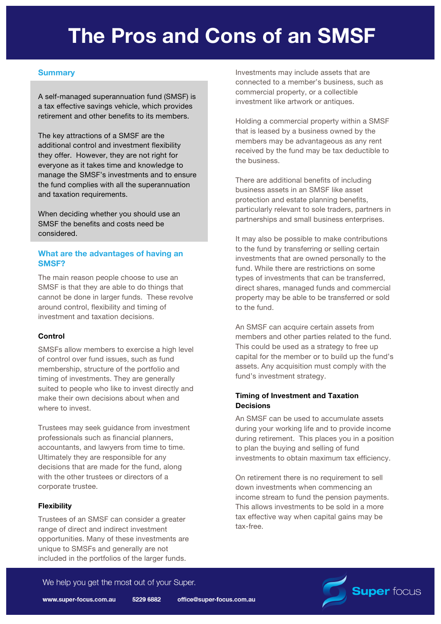# **The Pros and Cons of an SMSF**

### **Summary**

A self-managed superannuation fund (SMSF) is a tax effective savings vehicle, which provides retirement and other benefits to its members.

The key attractions of a SMSF are the additional control and investment flexibility they offer. However, they are not right for everyone as it takes time and knowledge to manage the SMSF's investments and to ensure the fund complies with all the superannuation and taxation requirements.

When deciding whether you should use an SMSF the benefits and costs need be considered.

#### **What are the advantages of having an SMSF?**

The main reason people choose to use an SMSF is that they are able to do things that cannot be done in larger funds. These revolve around control, flexibility and timing of investment and taxation decisions.

#### **Control**

SMSFs allow members to exercise a high level of control over fund issues, such as fund membership, structure of the portfolio and timing of investments. They are generally suited to people who like to invest directly and make their own decisions about when and where to invest.

Trustees may seek guidance from investment professionals such as financial planners, accountants, and lawyers from time to time. Ultimately they are responsible for any decisions that are made for the fund, along with the other trustees or directors of a corporate trustee.

#### **Flexibility**

Trustees of an SMSF can consider a greater range of direct and indirect investment opportunities. Many of these investments are unique to SMSFs and generally are not included in the portfolios of the larger funds.

Investments may include assets that are connected to a member's business, such as commercial property, or a collectible investment like artwork or antiques.

Holding a commercial property within a SMSF that is leased by a business owned by the members may be advantageous as any rent received by the fund may be tax deductible to the business.

There are additional benefits of including business assets in an SMSF like asset protection and estate planning benefits, particularly relevant to sole traders, partners in partnerships and small business enterprises.

It may also be possible to make contributions to the fund by transferring or selling certain investments that are owned personally to the fund. While there are restrictions on some types of investments that can be transferred, direct shares, managed funds and commercial property may be able to be transferred or sold to the fund.

An SMSF can acquire certain assets from members and other parties related to the fund. This could be used as a strategy to free up capital for the member or to build up the fund's assets. Any acquisition must comply with the fund's investment strategy.

#### **Timing of Investment and Taxation Decisions**

An SMSF can be used to accumulate assets during your working life and to provide income during retirement. This places you in a position to plan the buying and selling of fund investments to obtain maximum tax efficiency.

On retirement there is no requirement to sell down investments when commencing an income stream to fund the pension payments. This allows investments to be sold in a more tax effective way when capital gains may be tax-free.

**Super focus** 

We help you get the most out of your Super.